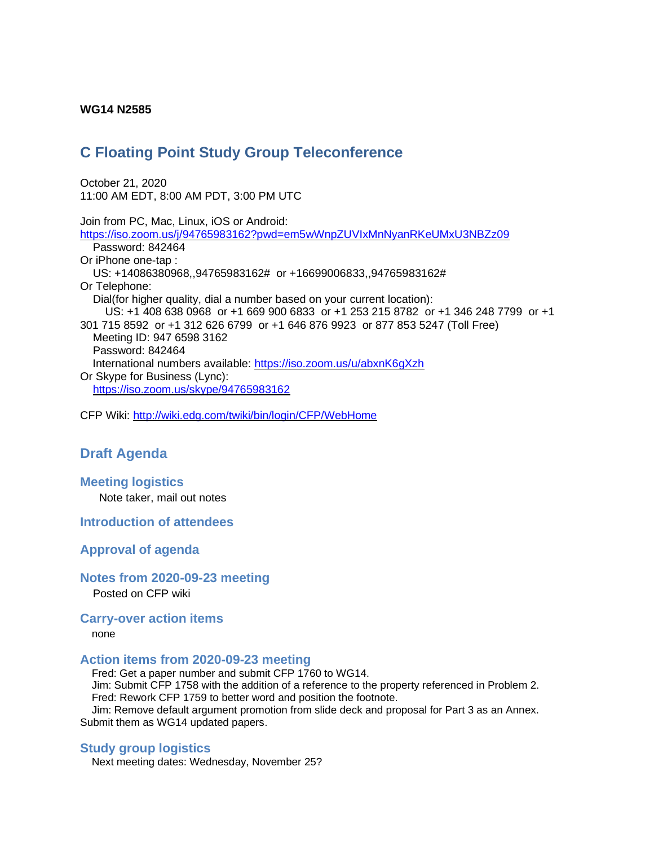#### **WG14 N2585**

# **C Floating Point Study Group Teleconference**

October 21, 2020 11:00 AM EDT, 8:00 AM PDT, 3:00 PM UTC

Join from PC, Mac, Linux, iOS or Android: <https://iso.zoom.us/j/94765983162?pwd=em5wWnpZUVIxMnNyanRKeUMxU3NBZz09> Password: 842464 Or iPhone one-tap : US: +14086380968,,94765983162# or +16699006833,,94765983162# Or Telephone: Dial(for higher quality, dial a number based on your current location): US: +1 408 638 0968 or +1 669 900 6833 or +1 253 215 8782 or +1 346 248 7799 or +1 301 715 8592 or +1 312 626 6799 or +1 646 876 9923 or 877 853 5247 (Toll Free) Meeting ID: 947 6598 3162 Password: 842464 International numbers available:<https://iso.zoom.us/u/abxnK6gXzh> Or Skype for Business (Lync): <https://iso.zoom.us/skype/94765983162>

CFP Wiki:<http://wiki.edg.com/twiki/bin/login/CFP/WebHome>

# **Draft Agenda**

# **Meeting logistics**

Note taker, mail out notes

## **Introduction of attendees**

#### **Approval of agenda**

#### **Notes from 2020-09-23 meeting**

Posted on CFP wiki

#### **Carry-over action items**

#### none

## **Action items from 2020-09-23 meeting**

Fred: Get a paper number and submit CFP 1760 to WG14. Jim: Submit CFP 1758 with the addition of a reference to the property referenced in Problem 2. Fred: Rework CFP 1759 to better word and position the footnote.

Jim: Remove default argument promotion from slide deck and proposal for Part 3 as an Annex. Submit them as WG14 updated papers.

# **Study group logistics**

Next meeting dates: Wednesday, November 25?